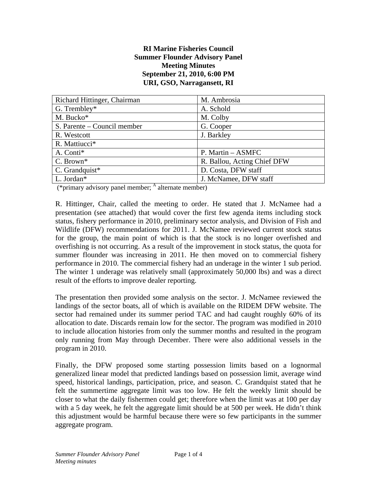#### **RI Marine Fisheries Council Summer Flounder Advisory Panel Meeting Minutes September 21, 2010, 6:00 PM URI, GSO, Narragansett, RI**

| Richard Hittinger, Chairman | M. Ambrosia                 |
|-----------------------------|-----------------------------|
| G. Trembley*                | A. Schold                   |
| M. Bucko*                   | M. Colby                    |
| S. Parente – Council member | G. Cooper                   |
| R. Westcott                 | J. Barkley                  |
| R. Mattiucci*               |                             |
| A. Conti*                   | P. Martin – ASMFC           |
| C. Brown*                   | R. Ballou, Acting Chief DFW |
| C. Grandquist $*$           | D. Costa, DFW staff         |
| L. Jordan*                  | J. McNamee, DFW staff       |

(\*primary advisory panel member;  $\frac{A}{A}$  alternate member)

R. Hittinger, Chair, called the meeting to order. He stated that J. McNamee had a presentation (see attached) that would cover the first few agenda items including stock status, fishery performance in 2010, preliminary sector analysis, and Division of Fish and Wildlife (DFW) recommendations for 2011. J. McNamee reviewed current stock status for the group, the main point of which is that the stock is no longer overfished and overfishing is not occurring. As a result of the improvement in stock status, the quota for summer flounder was increasing in 2011. He then moved on to commercial fishery performance in 2010. The commercial fishery had an underage in the winter 1 sub period. The winter 1 underage was relatively small (approximately 50,000 lbs) and was a direct result of the efforts to improve dealer reporting.

The presentation then provided some analysis on the sector. J. McNamee reviewed the landings of the sector boats, all of which is available on the RIDEM DFW website. The sector had remained under its summer period TAC and had caught roughly 60% of its allocation to date. Discards remain low for the sector. The program was modified in 2010 to include allocation histories from only the summer months and resulted in the program only running from May through December. There were also additional vessels in the program in 2010.

Finally, the DFW proposed some starting possession limits based on a lognormal generalized linear model that predicted landings based on possession limit, average wind speed, historical landings, participation, price, and season. C. Grandquist stated that he felt the summertime aggregate limit was too low. He felt the weekly limit should be closer to what the daily fishermen could get; therefore when the limit was at 100 per day with a 5 day week, he felt the aggregate limit should be at 500 per week. He didn't think this adjustment would be harmful because there were so few participants in the summer aggregate program.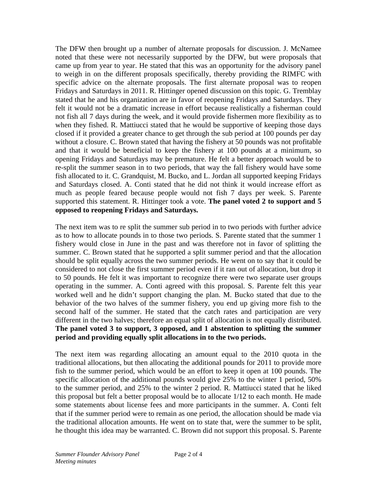The DFW then brought up a number of alternate proposals for discussion. J. McNamee noted that these were not necessarily supported by the DFW, but were proposals that came up from year to year. He stated that this was an opportunity for the advisory panel to weigh in on the different proposals specifically, thereby providing the RIMFC with specific advice on the alternate proposals. The first alternate proposal was to reopen Fridays and Saturdays in 2011. R. Hittinger opened discussion on this topic. G. Tremblay stated that he and his organization are in favor of reopening Fridays and Saturdays. They felt it would not be a dramatic increase in effort because realistically a fisherman could not fish all 7 days during the week, and it would provide fishermen more flexibility as to when they fished. R. Mattiucci stated that he would be supportive of keeping those days closed if it provided a greater chance to get through the sub period at 100 pounds per day without a closure. C. Brown stated that having the fishery at 50 pounds was not profitable and that it would be beneficial to keep the fishery at 100 pounds at a minimum, so opening Fridays and Saturdays may be premature. He felt a better approach would be to re-split the summer season in to two periods, that way the fall fishery would have some fish allocated to it. C. Grandquist, M. Bucko, and L. Jordan all supported keeping Fridays and Saturdays closed. A. Conti stated that he did not think it would increase effort as much as people feared because people would not fish 7 days per week. S. Parente supported this statement. R. Hittinger took a vote. **The panel voted 2 to support and 5 opposed to reopening Fridays and Saturdays.** 

The next item was to re split the summer sub period in to two periods with further advice as to how to allocate pounds in to those two periods. S. Parente stated that the summer 1 fishery would close in June in the past and was therefore not in favor of splitting the summer. C. Brown stated that he supported a split summer period and that the allocation should be split equally across the two summer periods. He went on to say that it could be considered to not close the first summer period even if it ran out of allocation, but drop it to 50 pounds. He felt it was important to recognize there were two separate user groups operating in the summer. A. Conti agreed with this proposal. S. Parente felt this year worked well and he didn't support changing the plan. M. Bucko stated that due to the behavior of the two halves of the summer fishery, you end up giving more fish to the second half of the summer. He stated that the catch rates and participation are very different in the two halves; therefore an equal split of allocation is not equally distributed. **The panel voted 3 to support, 3 opposed, and 1 abstention to splitting the summer period and providing equally split allocations in to the two periods.**

The next item was regarding allocating an amount equal to the 2010 quota in the traditional allocations, but then allocating the additional pounds for 2011 to provide more fish to the summer period, which would be an effort to keep it open at 100 pounds. The specific allocation of the additional pounds would give 25% to the winter 1 period, 50% to the summer period, and 25% to the winter 2 period. R. Mattiucci stated that he liked this proposal but felt a better proposal would be to allocate 1/12 to each month. He made some statements about license fees and more participants in the summer. A. Conti felt that if the summer period were to remain as one period, the allocation should be made via the traditional allocation amounts. He went on to state that, were the summer to be split, he thought this idea may be warranted. C. Brown did not support this proposal. S. Parente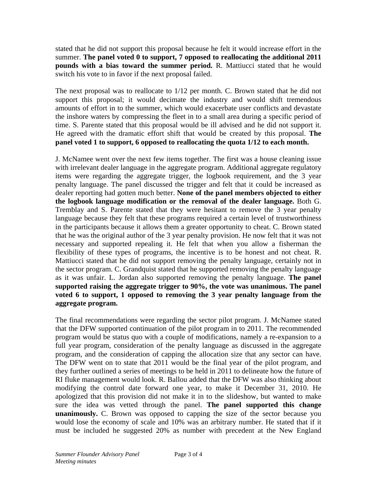stated that he did not support this proposal because he felt it would increase effort in the summer. **The panel voted 0 to support, 7 opposed to reallocating the additional 2011 pounds with a bias toward the summer period.** R. Mattiucci stated that he would switch his vote to in favor if the next proposal failed.

The next proposal was to reallocate to 1/12 per month. C. Brown stated that he did not support this proposal; it would decimate the industry and would shift tremendous amounts of effort in to the summer, which would exacerbate user conflicts and devastate the inshore waters by compressing the fleet in to a small area during a specific period of time. S. Parente stated that this proposal would be ill advised and he did not support it. He agreed with the dramatic effort shift that would be created by this proposal. **The panel voted 1 to support, 6 opposed to reallocating the quota 1/12 to each month.**

J. McNamee went over the next few items together. The first was a house cleaning issue with irrelevant dealer language in the aggregate program. Additional aggregate regulatory items were regarding the aggregate trigger, the logbook requirement, and the 3 year penalty language. The panel discussed the trigger and felt that it could be increased as dealer reporting had gotten much better. **None of the panel members objected to either the logbook language modification or the removal of the dealer language.** Both G. Tremblay and S. Parente stated that they were hesitant to remove the 3 year penalty language because they felt that these programs required a certain level of trustworthiness in the participants because it allows them a greater opportunity to cheat. C. Brown stated that he was the original author of the 3 year penalty provision. He now felt that it was not necessary and supported repealing it. He felt that when you allow a fisherman the flexibility of these types of programs, the incentive is to be honest and not cheat. R. Mattiucci stated that he did not support removing the penalty language, certainly not in the sector program. C. Grandquist stated that he supported removing the penalty language as it was unfair. L. Jordan also supported removing the penalty language. **The panel supported raising the aggregate trigger to 90%, the vote was unanimous. The panel voted 6 to support, 1 opposed to removing the 3 year penalty language from the aggregate program.**

The final recommendations were regarding the sector pilot program. J. McNamee stated that the DFW supported continuation of the pilot program in to 2011. The recommended program would be status quo with a couple of modifications, namely a re-expansion to a full year program, consideration of the penalty language as discussed in the aggregate program, and the consideration of capping the allocation size that any sector can have. The DFW went on to state that 2011 would be the final year of the pilot program, and they further outlined a series of meetings to be held in 2011 to delineate how the future of RI fluke management would look. R. Ballou added that the DFW was also thinking about modifying the control date forward one year, to make it December 31, 2010. He apologized that this provision did not make it in to the slideshow, but wanted to make sure the idea was vetted through the panel. **The panel supported this change unanimously.** C. Brown was opposed to capping the size of the sector because you would lose the economy of scale and 10% was an arbitrary number. He stated that if it must be included he suggested 20% as number with precedent at the New England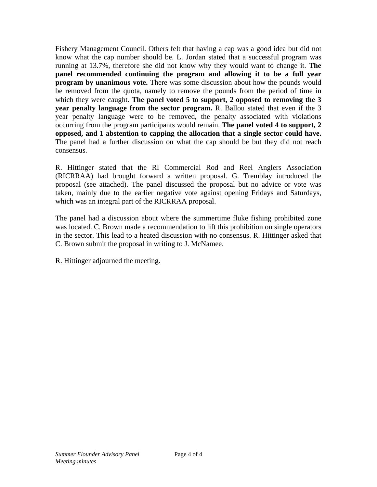Fishery Management Council. Others felt that having a cap was a good idea but did not know what the cap number should be. L. Jordan stated that a successful program was running at 13.7%, therefore she did not know why they would want to change it. **The panel recommended continuing the program and allowing it to be a full year program by unanimous vote.** There was some discussion about how the pounds would be removed from the quota, namely to remove the pounds from the period of time in which they were caught. **The panel voted 5 to support, 2 opposed to removing the 3 year penalty language from the sector program.** R. Ballou stated that even if the 3 year penalty language were to be removed, the penalty associated with violations occurring from the program participants would remain. **The panel voted 4 to support, 2 opposed, and 1 abstention to capping the allocation that a single sector could have.**  The panel had a further discussion on what the cap should be but they did not reach consensus.

R. Hittinger stated that the RI Commercial Rod and Reel Anglers Association (RICRRAA) had brought forward a written proposal. G. Tremblay introduced the proposal (see attached). The panel discussed the proposal but no advice or vote was taken, mainly due to the earlier negative vote against opening Fridays and Saturdays, which was an integral part of the RICRRAA proposal.

The panel had a discussion about where the summertime fluke fishing prohibited zone was located. C. Brown made a recommendation to lift this prohibition on single operators in the sector. This lead to a heated discussion with no consensus. R. Hittinger asked that C. Brown submit the proposal in writing to J. McNamee.

R. Hittinger adjourned the meeting.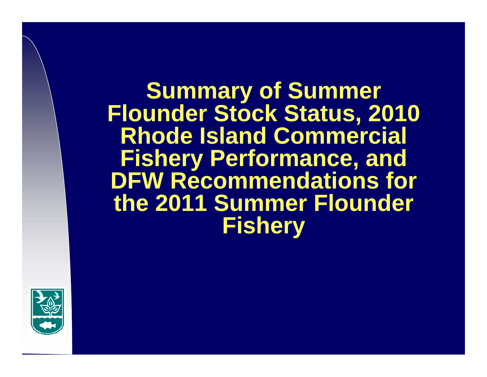**Summary of Summer Flounder Stock Status, 2010 Rhode Island Commercial Fishery Performance, and DFW Recommendations for the 2011 Summer Flounder Fishery**

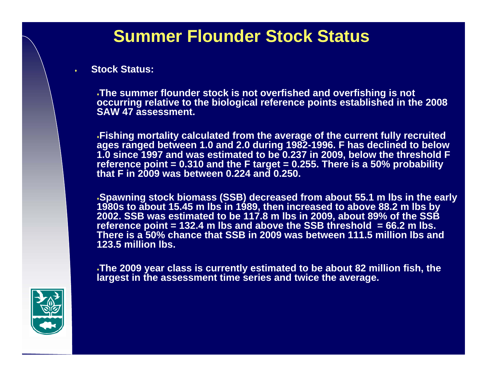# **Summer Flounder Stock Status**

#### **Stock Status:**

٠

**The summer flounder stock is not overfished and overfishing is not occurring relative to the biological reference points established in the 2008 SAW 47 assessment.** 

**Fishing mortality calculated from the average of the current fully recruited ages ranged between 1.0 and 2.0 during 1982-1996. F has declined to below 1.0 since 1997 and was estimated to be 0.237 in 2009, below the threshold F reference point = 0.310 and the F target = 0.255. There is a 50% probability that F in 2009 was between 0.224 and 0.250.** 

**Spawning stock biomass (SSB) decreased from about 55.1 m lbs in the early 1980s to about 15.45 m lbs in 1989, then increased to above 88.2 m lbs by 2002. SSB was estimated to be 117.8 m lbs in 2009, about 89% of the SSB reference point = 132.4 m lbs and above the SSB threshold = 66.2 m lbs. There is a 50% chance that SSB in 2009 was between 111.5 million lbs and 123.5 million lbs.** 

**The 2009 year class is currently estimated to be about 82 million fish, the largest in the assessment time series and twice the average.**

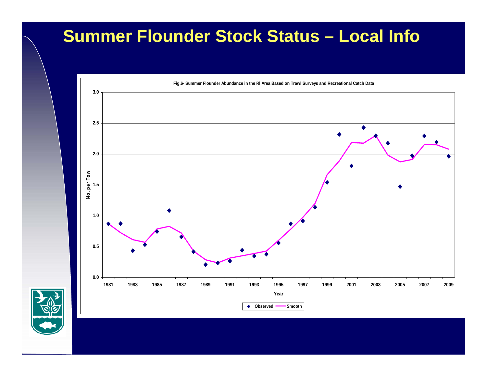## **Summer Flounder Stock Status – Local Info**



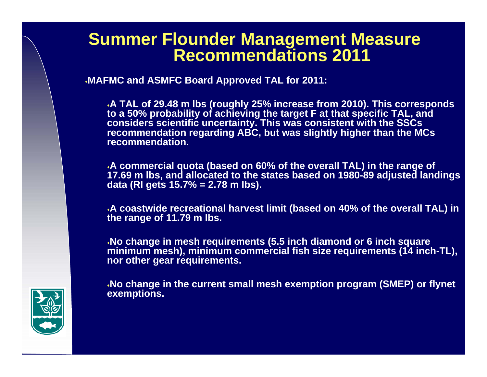#### **Summer Flounder Management Measure Recommendations 2011**

**MAFMC and ASMFC Board Approved TAL for 2011:**

**A TAL of 29.48 m lbs (roughly 25% increase from 2010). This corresponds to a 50% probability of achieving the target F at that specific TAL, and considers scientific uncertainty. This was consistent with the SSCs recommendation regarding ABC, but was slightly higher than the MCs recommendation.**

**A commercial quota (based on 60% of the overall TAL) in the range of 17.69 m lbs, and allocated to the states based on 1980-89 adjusted landings data (RI gets 15.7% = 2.78 m lbs).**

**A coastwide recreational harvest limit (based on 40% of the overall TAL) in the range of 11.79 m lbs.**

**No change in mesh requirements (5.5 inch diamond or 6 inch square minimum mesh), minimum commercial fish size requirements (14 inch-TL), nor other gear requirements.**

**No change in the current small mesh exemption program (SMEP) or flynet exemptions.**

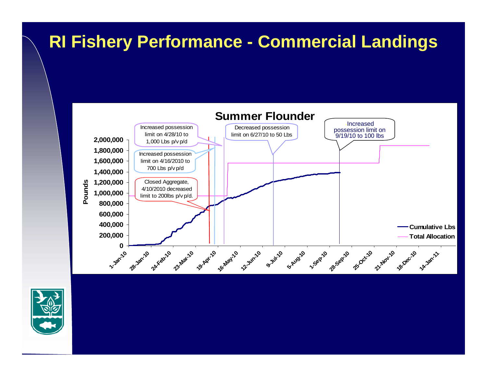## **RI Fishery Performance - Commercial Landings**



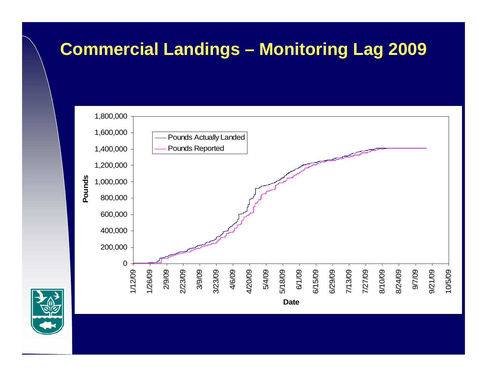# **Commercial Landings – Monitoring Lag 2009**



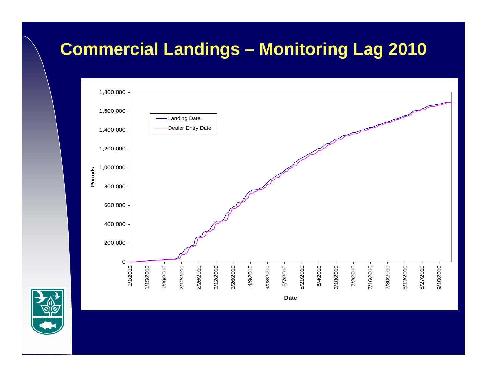# **Commercial Landings – Monitoring Lag 2010**



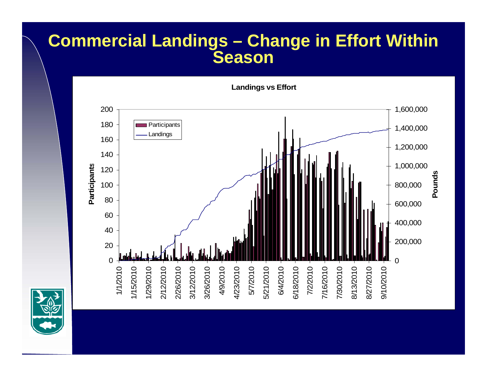#### **Commercial Landings – Change in Effort Within Season**



**Landings vs Effort**

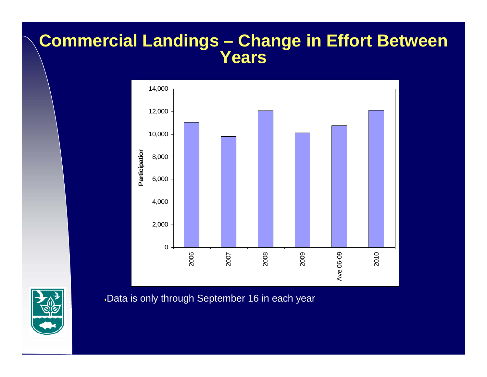#### **Commercial Landings – Change in Effort Between Years**



Data is only through September 16 in each year

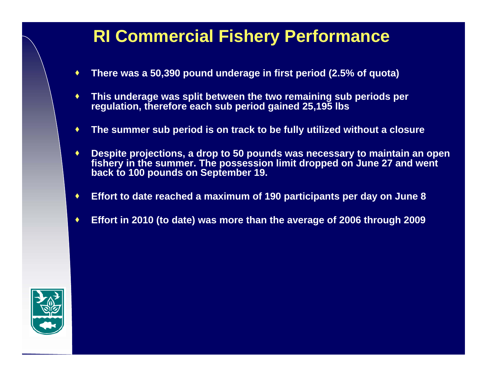## **RI Commercial Fishery Performance**

- ۰ **There was a 50,390 pound underage in first period (2.5% of quota)**
- $\bullet$  **This underage was split between the two remaining sub periods per regulation, therefore each sub period gained 25,195 lbs**
- ٠ **The summer sub period is on track to be fully utilized without a closure**
- ♦ **Despite projections, a drop to 50 pounds was necessary to maintain an open fishery in the summer. The possession limit dropped on June 27 and went back to 100 pounds on September 19.**
- ۰ **Effort to date reached a maximum of 190 participants per day on June 8**
- ۰ **Effort in 2010 (to date) was more than the average of 2006 through 2009**

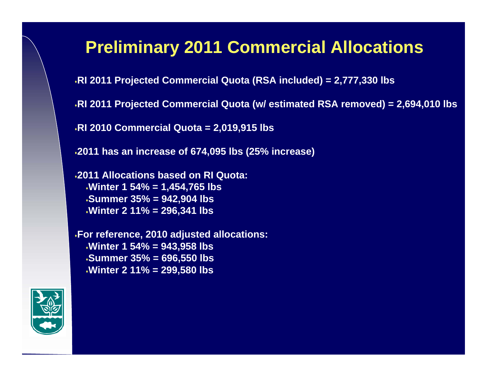## **Preliminary 2011 Commercial Allocations**

**RI 2011 Projected Commercial Quota (RSA included) = 2,777,330 lbs**

**RI 2011 Projected Commercial Quota (w/ estimated RSA removed) = 2,694,010 lbs**

**RI 2010 Commercial Quota = 2,019,915 lbs**

**2011 has an increase of 674,095 lbs (25% increase)**

**2011 Allocations based on RI Quota: Winter 1 54% = 1,454,765 lbs Summer 35% = 942,904 lbs Winter 2 11% = 296,341 lbs**

**For reference, 2010 adjusted allocations: Winter 1 54% = 943,958 lbs Summer 35% = 696,550 lbs Winter 2 11% = 299,580 lbs**

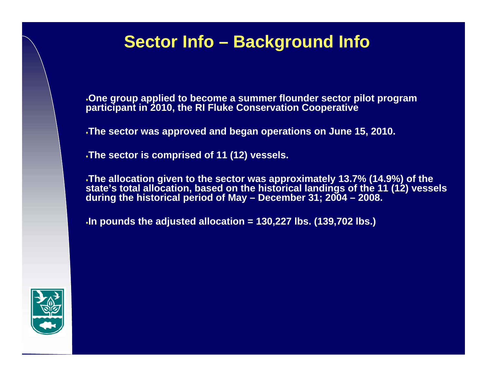## **Sector Info – Background Info**

**One group applied to become a summer flounder sector pilot program participant in 2010, the RI Fluke Conservation Cooperative**

**The sector was approved and began operations on June 15, 2010.**

**The sector is comprised of 11 (12) vessels.** 

**The allocation given to the sector was approximately 13.7% (14.9%) of the state's total allocation, based on the historical landings of the 11 (12) vessels during the historical period of May – December 31; 2004 – 2008.**

**In pounds the adjusted allocation = 130,227 lbs. (139,702 lbs.)**

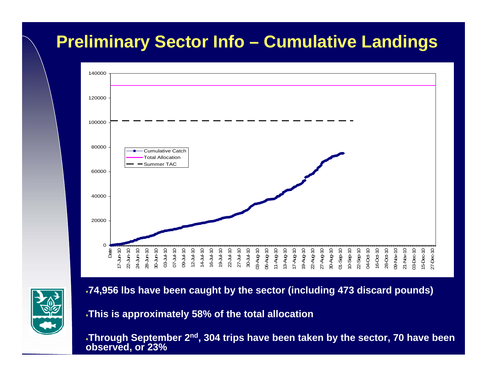## **Preliminary Sector Info – Cumulative Landings**





**74,956 lbs have been caught by the sector (including 473 discard pounds)**

**This is approximately 58% of the total allocation**

**Through September 2nd, 304 trips have been taken by the sector, 70 have been observed, or 23%**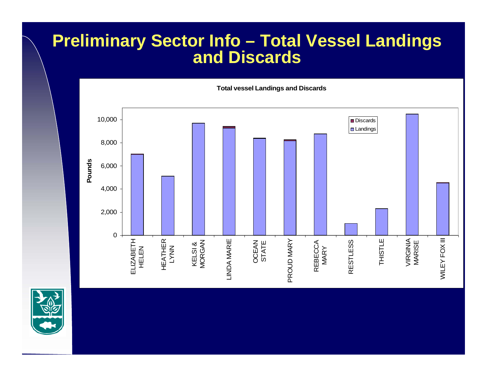## **Preliminary Sector Info – Total Vessel Landings and Discards**



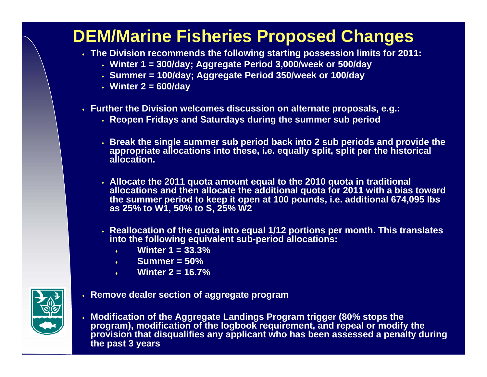# **DEM/Marine Fisheries Proposed Changes**

- **The Division recommends the following starting possession limits for 2011:**
	- **Winter 1 = 300/day; Aggregate Period 3,000/week or 500/day**
	- **Summer = 100/day; Aggregate Period 350/week or 100/day**
	- **Winter 2 = 600/day**
- **Further the Division welcomes discussion on alternate proposals, e.g.:**
	- **Reopen Fridays and Saturdays during the summer sub period**
	- **Break the single summer sub period back into 2 sub periods and provide the appropriate allocations into these, i.e. equally split, split per the historical allocation.**
	- **Allocate the 2011 quota amount equal to the 2010 quota in traditional allocations and then allocate the additional quota for 2011 with a bias toward the summer period to keep it open at 100 pounds, i.e. additional 674,095 lbs as 25% to W1, 50% to S, 25% W2**
	- **Reallocation of the quota into equal 1/12 portions per month. This translates into the following equivalent sub-period allocations:**
		- $\bullet$ **Winter 1 = 33.3%**
		- $\bullet$  . **Summer = 50%**
		- ٠ **Winter 2 = 16.7%**
- **Remove dealer section of aggregate program**
- ٠ **Modification of the Aggregate Landings Program trigger (80% stops the program), modification of the logbook requirement, and repeal or modify the provision that disqualifies any applicant who has been assessed a penalty during the past 3 years**

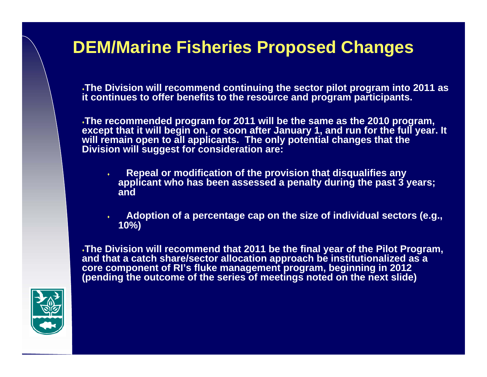## **DEM/Marine Fisheries Proposed Changes**

**The Division will recommend continuing the sector pilot program into 2011 as it continues to offer benefits to the resource and program participants.**

**The recommended program for 2011 will be the same as the 2010 program, except that it will begin on, or soon after January 1, and run for the full year. It will remain open to all applicants. The only potential changes that the Division will suggest for consideration are:**

- ٠ **Repeal or modification of the provision that disqualifies any applicant who has been assessed a penalty during the past 3 years; and**
	- **Adoption of a percentage cap on the size of individual sectors (e.g., 10%)**

**The Division will recommend that 2011 be the final year of the Pilot Program, and that a catch share/sector allocation approach be institutionalized as a core component of RI's fluke management program, beginning in 2012 (pending the outcome of the series of meetings noted on the next slide)**



٠